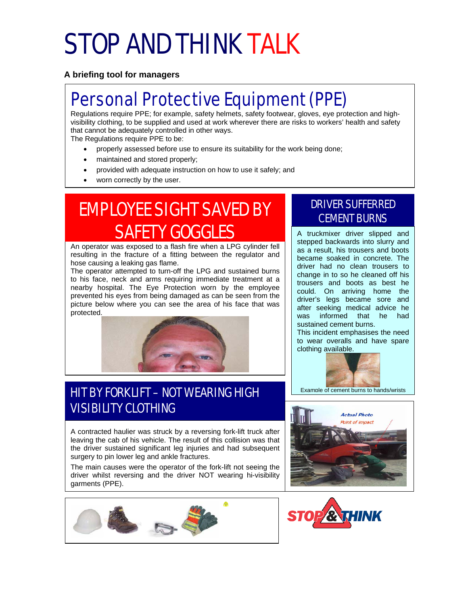# STOP AND THINK TALK

**A briefing tool for managers**

# Personal Protective Equipment (PPE)

Regulations require PPE; for example, safety helmets, safety footwear, gloves, eye protection and highvisibility clothing, to be supplied and used at work wherever there are risks to workers' health and safety that cannot be adequately controlled in other ways.

The Regulations require PPE to be:

- properly assessed before use to ensure its suitability for the work being done;
- maintained and stored properly;
- provided with adequate instruction on how to use it safely; and
- worn correctly by the user.

# **EMPLOYEE SIGHT SAVED BY CEMENT BURNS** SAFETY GOGGLES

An operator was exposed to a flash fire when a LPG cylinder fell resulting in the fracture of a fitting between the regulator and hose causing a leaking gas flame.

The operator attempted to turn-off the LPG and sustained burns to his face, neck and arms requiring immediate treatment at a nearby hospital. The Eye Protection worn by the employee prevented his eyes from being damaged as can be seen from the picture below where you can see the area of his face that was protected.



## HIT BY FORKLIFT – NOT WEARING HIGH VISIBILITY CLOTHING

A contracted haulier was struck by a reversing fork-lift truck after leaving the cab of his vehicle. The result of this collision was that the driver sustained significant leg injuries and had subsequent surgery to pin lower leg and ankle fractures.

The main causes were the operator of the fork-lift not seeing the driver whilst reversing and the driver NOT wearing hi-visibility garments (PPE).



# DRIVER SUFFERRED

A truckmixer driver slipped and stepped backwards into slurry and as a result, his trousers and boots became soaked in concrete. The driver had no clean trousers to change in to so he cleaned off his trousers and boots as best he could. On arriving home the driver's legs became sore and after seeking medical advice he was informed that he had sustained cement burns.

This incident emphasises the need to wear overalls and have spare clothing available.





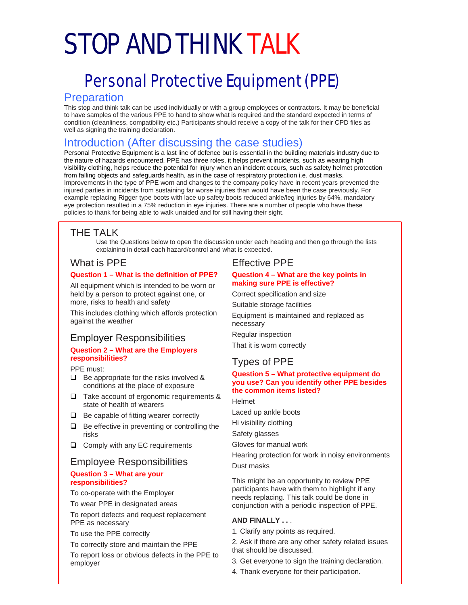# STOP AND THINK TALK

## Personal Protective Equipment (PPE)

#### **Preparation**

This stop and think talk can be used individually or with a group employees or contractors. It may be beneficial to have samples of the various PPE to hand to show what is required and the standard expected in terms of condition (cleanliness, compatibility etc.) Participants should receive a copy of the talk for their CPD files as well as signing the training declaration.

### Introduction (After discussing the case studies)

Personal Protective Equipment is a last line of defence but is essential in the building materials industry due to the nature of hazards encountered. PPE has three roles, it helps prevent incidents, such as wearing high visibility clothing, helps reduce the potential for injury when an incident occurs, such as safety helmet protection from falling objects and safeguards health, as in the case of respiratory protection i.e. dust masks. Improvements in the type of PPE worn and changes to the company policy have in recent years prevented the injured parties in incidents from sustaining far worse injuries than would have been the case previously. For example replacing Rigger type boots with lace up safety boots reduced ankle/leg injuries by 64%, mandatory eye protection resulted in a 75% reduction in eye injuries. There are a number of people who have these policies to thank for being able to walk unaided and for still having their sight.

### THE TALK

Use the Questions below to open the discussion under each heading and then go through the lists explaining in detail each hazard/control and what is expected.

#### What is PPE

#### **Question 1 – What is the definition of PPE?**

All equipment which is intended to be worn or held by a person to protect against one, or more, risks to health and safety

This includes clothing which affords protection against the weather

#### Employer Responsibilities

#### **Question 2 – What are the Employers responsibilities?**

PPE must:

- $\Box$  Be appropriate for the risks involved & conditions at the place of exposure
- □ Take account of ergonomic requirements & state of health of wearers
- $\Box$  Be capable of fitting wearer correctly
- $\Box$  Be effective in preventing or controlling the risks
- □ Comply with any EC requirements

### Employee Responsibilities

#### **Question 3 – What are your responsibilities?**

To co-operate with the Employer

To wear PPE in designated areas

To report defects and request replacement PPE as necessary

To use the PPE correctly

To correctly store and maintain the PPE

To report loss or obvious defects in the PPE to employer

#### Effective PPE

#### **Question 4 – What are the key points in making sure PPE is effective?**

Correct specification and size

Suitable storage facilities

Equipment is maintained and replaced as necessary

Regular inspection

That it is worn correctly

### Types of PPE

#### **Question 5 – What protective equipment do you use? Can you identify other PPE besides the common items listed?**

Helmet

Laced up ankle boots

Hi visibility clothing

Safety glasses

Gloves for manual work

Hearing protection for work in noisy environments

Dust masks

This might be an opportunity to review PPE participants have with them to highlight if any needs replacing. This talk could be done in conjunction with a periodic inspection of PPE.

#### **AND FINALLY . .** .

1. Clarify any points as required.

2. Ask if there are any other safety related issues that should be discussed.

- 3. Get everyone to sign the training declaration.
- 4. Thank everyone for their participation.